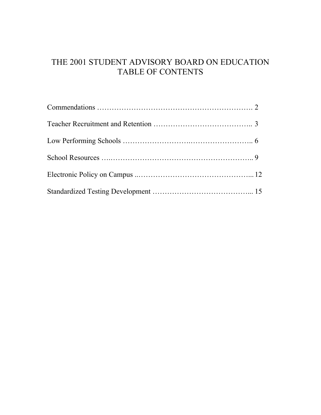## THE 2001 STUDENT ADVISORY BOARD ON EDUCATION TABLE OF CONTENTS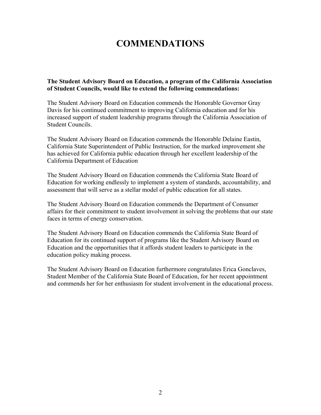# **COMMENDATIONS**

**The Student Advisory Board on Education, a program of the California Association of Student Councils, would like to extend the following commendations:**

The Student Advisory Board on Education commends the Honorable Governor Gray Davis for his continued commitment to improving California education and for his increased support of student leadership programs through the California Association of Student Councils.

The Student Advisory Board on Education commends the Honorable Delaine Eastin, California State Superintendent of Public Instruction, for the marked improvement she has achieved for California public education through her excellent leadership of the California Department of Education

The Student Advisory Board on Education commends the California State Board of Education for working endlessly to implement a system of standards, accountability, and assessment that will serve as a stellar model of public education for all states.

The Student Advisory Board on Education commends the Department of Consumer affairs for their commitment to student involvement in solving the problems that our state faces in terms of energy conservation.

The Student Advisory Board on Education commends the California State Board of Education for its continued support of programs like the Student Advisory Board on Education and the opportunities that it affords student leaders to participate in the education policy making process.

The Student Advisory Board on Education furthermore congratulates Erica Gonclaves, Student Member of the California State Board of Education, for her recent appointment and commends her for her enthusiasm for student involvement in the educational process.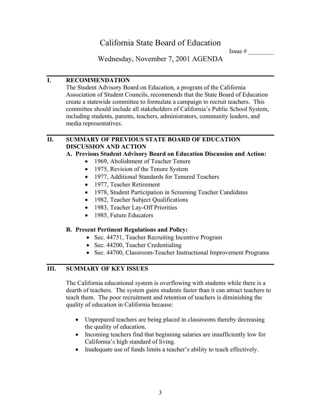Issue  $#$ 

Wednesday, November 7, 2001 AGENDA

#### **I. RECOMMENDATION**

The Student Advisory Board on Education, a program of the California Association of Student Councils, recommends that the State Board of Education create a statewide committee to formulate a campaign to recruit teachers. This committee should include all stakeholders of California's Public School System, including students, parents, teachers, administrators, community leaders, and media representatives.

#### **II. SUMMARY OF PREVIOUS STATE BOARD OF EDUCATION DISCUSSION AND ACTION**

## **A. Previous Student Advisory Board on Education Discussion and Action:**

- 1969, Abolishment of Teacher Tenure
- 1975, Revision of the Tenure System
- 1977, Additional Standards for Tenured Teachers
- 1977, Teacher Retirement
- 1978, Student Participation in Screening Teacher Candidates
- 1982, Teacher Subject Qualifications
- 1983, Teacher Lay-Off Priorities
- 1985, Future Educators

## **B. Present Pertinent Regulations and Policy:**

- Sec. 44751, Teacher Recruiting Incentive Program
- Sec. 44200, Teacher Credentialing
- Sec. 44700, Classroom-Teacher Instructional Improvement Programs

## **III. SUMMARY OF KEY ISSUES**

The California educational system is overflowing with students while there is a dearth of teachers. The system gains students faster than it can attract teachers to teach them. The poor recruitment and retention of teachers is diminishing the quality of education in California because:

- Unprepared teachers are being placed in classrooms thereby decreasing the quality of education.
- Incoming teachers find that beginning salaries are insufficiently low for California's high standard of living.
- Inadequate use of funds limits a teacher's ability to teach effectively.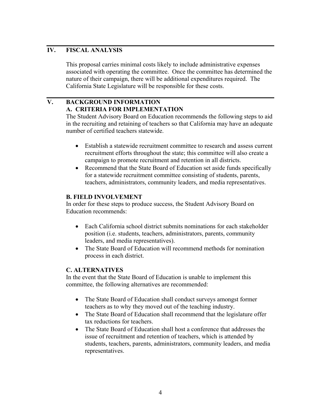This proposal carries minimal costs likely to include administrative expenses associated with operating the committee. Once the committee has determined the nature of their campaign, there will be additional expenditures required. The California State Legislature will be responsible for these costs.

## **V. BACKGROUND INFORMATION A. CRITERIA FOR IMPLEMENTATION**

The Student Advisory Board on Education recommends the following steps to aid in the recruiting and retaining of teachers so that California may have an adequate number of certified teachers statewide.

- Establish a statewide recruitment committee to research and assess current recruitment efforts throughout the state; this committee will also create a campaign to promote recruitment and retention in all districts.
- Recommend that the State Board of Education set aside funds specifically for a statewide recruitment committee consisting of students, parents, teachers, administrators, community leaders, and media representatives.

#### **B. FIELD INVOLVEMENT**

In order for these steps to produce success, the Student Advisory Board on Education recommends:

- Each California school district submits nominations for each stakeholder position (i.e. students, teachers, administrators, parents, community leaders, and media representatives).
- The State Board of Education will recommend methods for nomination process in each district.

#### **C. ALTERNATIVES**

In the event that the State Board of Education is unable to implement this committee, the following alternatives are recommended:

- The State Board of Education shall conduct surveys amongst former teachers as to why they moved out of the teaching industry.
- The State Board of Education shall recommend that the legislature offer tax reductions for teachers.
- The State Board of Education shall host a conference that addresses the issue of recruitment and retention of teachers, which is attended by students, teachers, parents, administrators, community leaders, and media representatives.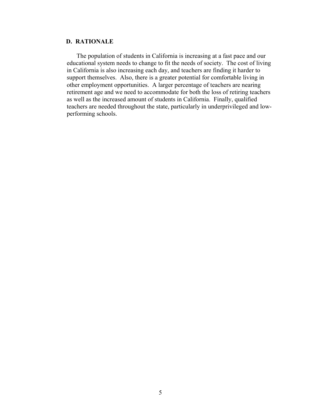The population of students in California is increasing at a fast pace and our educational system needs to change to fit the needs of society. The cost of living in California is also increasing each day, and teachers are finding it harder to support themselves. Also, there is a greater potential for comfortable living in other employment opportunities. A larger percentage of teachers are nearing retirement age and we need to accommodate for both the loss of retiring teachers as well as the increased amount of students in California. Finally, qualified teachers are needed throughout the state, particularly in underprivileged and lowperforming schools.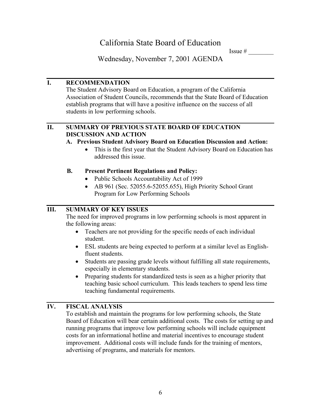Issue  $#$ 

Wednesday, November 7, 2001 AGENDA

## **I. RECOMMENDATION**

The Student Advisory Board on Education, a program of the California Association of Student Councils, recommends that the State Board of Education establish programs that will have a positive influence on the success of all students in low performing schools.

## **II. SUMMARY OF PREVIOUS STATE BOARD OF EDUCATION DISCUSSION AND ACTION**

#### **A. Previous Student Advisory Board on Education Discussion and Action:**

• This is the first year that the Student Advisory Board on Education has addressed this issue.

## **B. Present Pertinent Regulations and Policy:**

- Public Schools Accountability Act of 1999
- AB 961 (Sec. 52055.6-52055.655), High Priority School Grant Program for Low Performing Schools

## **III. SUMMARY OF KEY ISSUES**

The need for improved programs in low performing schools is most apparent in the following areas:

- Teachers are not providing for the specific needs of each individual student.
- ESL students are being expected to perform at a similar level as Englishfluent students.
- Students are passing grade levels without fulfilling all state requirements, especially in elementary students.
- Preparing students for standardized tests is seen as a higher priority that teaching basic school curriculum. This leads teachers to spend less time teaching fundamental requirements.

## **IV. FISCAL ANALYSIS**

To establish and maintain the programs for low performing schools, the State Board of Education will bear certain additional costs. The costs for setting up and running programs that improve low performing schools will include equipment costs for an informational hotline and material incentives to encourage student improvement. Additional costs will include funds for the training of mentors, advertising of programs, and materials for mentors.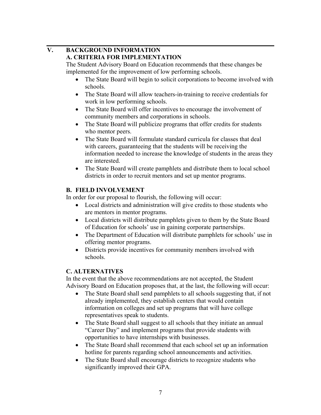#### **V. BACKGROUND INFORMATION A. CRITERIA FOR IMPLEMENTATION**

The Student Advisory Board on Education recommends that these changes be implemented for the improvement of low performing schools.

- The State Board will begin to solicit corporations to become involved with schools.
- The State Board will allow teachers-in-training to receive credentials for work in low performing schools.
- The State Board will offer incentives to encourage the involvement of community members and corporations in schools.
- The State Board will publicize programs that offer credits for students who mentor peers.
- The State Board will formulate standard curricula for classes that deal with careers, guaranteeing that the students will be receiving the information needed to increase the knowledge of students in the areas they are interested.
- The State Board will create pamphlets and distribute them to local school districts in order to recruit mentors and set up mentor programs.

## **B. FIELD INVOLVEMENT**

In order for our proposal to flourish, the following will occur:

- Local districts and administration will give credits to those students who are mentors in mentor programs.
- Local districts will distribute pamphlets given to them by the State Board of Education for schools' use in gaining corporate partnerships.
- The Department of Education will distribute pamphlets for schools' use in offering mentor programs.
- Districts provide incentives for community members involved with schools.

## **C. ALTERNATIVES**

In the event that the above recommendations are not accepted, the Student Advisory Board on Education proposes that, at the last, the following will occur:

- The State Board shall send pamphlets to all schools suggesting that, if not already implemented, they establish centers that would contain information on colleges and set up programs that will have college representatives speak to students.
- The State Board shall suggest to all schools that they initiate an annual "Career Day" and implement programs that provide students with opportunities to have internships with businesses.
- The State Board shall recommend that each school set up an information hotline for parents regarding school announcements and activities.
- The State Board shall encourage districts to recognize students who significantly improved their GPA.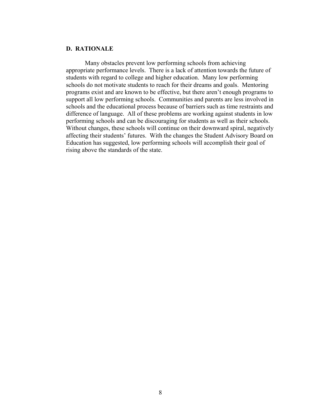Many obstacles prevent low performing schools from achieving appropriate performance levels. There is a lack of attention towards the future of students with regard to college and higher education. Many low performing schools do not motivate students to reach for their dreams and goals. Mentoring programs exist and are known to be effective, but there aren't enough programs to support all low performing schools. Communities and parents are less involved in schools and the educational process because of barriers such as time restraints and difference of language. All of these problems are working against students in low performing schools and can be discouraging for students as well as their schools. Without changes, these schools will continue on their downward spiral, negatively affecting their students' futures. With the changes the Student Advisory Board on Education has suggested, low performing schools will accomplish their goal of rising above the standards of the state.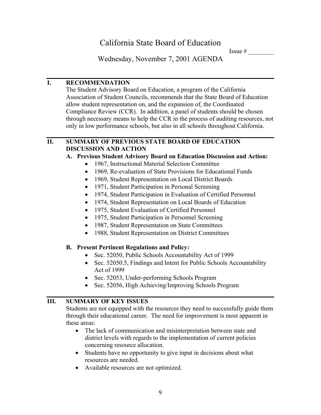Issue  $#$ 

Wednesday, November 7, 2001 AGENDA

#### **I. RECOMMENDATION**

The Student Advisory Board on Education, a program of the California Association of Student Councils, recommends that the State Board of Education allow student representation on, and the expansion of, the Coordinated Compliance Review (CCR). In addition, a panel of students should be chosen through necessary means to help the CCR in the process of auditing resources, not only in low performance schools, but also in all schools throughout California.

#### **II. SUMMARY OF PREVIOUS STATE BOARD OF EDUCATION DISCUSSION AND ACTION**

#### **A. Previous Student Advisory Board on Education Discussion and Action:**

- 1967, Instructional Material Selection Committee
- 1969, Re-evaluation of State Provisions for Educational Funds
- 1969, Student Representation on Local District Boards
- 1971, Student Participation in Personal Screening
- 1974, Student Participation in Evaluation of Certified Personnel
- 1974, Student Representation on Local Boards of Education
- 1975, Student Evaluation of Certified Personnel
- 1975, Student Participation in Personnel Screening
- 1987, Student Representation on State Committees
- 1988, Student Representation on District Committees

#### **B. Present Pertinent Regulations and Policy:**

- Sec. 52050, Public Schools Accountability Act of 1999
- Sec. 52050.5, Findings and Intent for Public Schools Accountability Act of 1999
- Sec. 52053, Under-performing Schools Program
- Sec. 52056, High Achieving/Improving Schools Program

## **III. SUMMARY OF KEY ISSUES**

Students are not equipped with the resources they need to successfully guide them through their educational career. The need for improvement is most apparent in these areas:

- The lack of communication and misinterpretation between state and district levels with regards to the implementation of current policies concerning resource allocation.
- Students have no opportunity to give input in decisions about what resources are needed.
- Available resources are not optimized.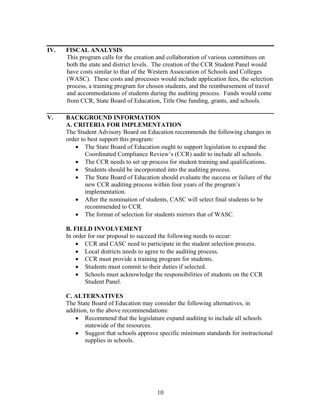This program calls for the creation and collaboration of various committees on both the state and district levels. The creation of the CCR Student Panel would have costs similar to that of the Western Association of Schools and Colleges (WASC). These costs and processes would include application fees, the selection process, a training program for chosen students, and the reimbursement of travel and accommodations of students during the auditing process. Funds would come from CCR, State Board of Education, Title One funding, grants, and schools.

#### **V. BACKGROUND INFORMATION A. CRITERIA FOR IMPLEMENTATION**

The Student Advisory Board on Education recommends the following changes in order to best support this program:

- The State Board of Education ought to support legislation to expand the Coordinated Compliance Review's (CCR) audit to include all schools.
- The CCR needs to set up process for student training and qualifications.
- Students should be incorporated into the auditing process.
- The State Board of Education should evaluate the success or failure of the new CCR auditing process within four years of the program's implementation.
- After the nomination of students, CASC will select final students to be recommended to CCR.
- The format of selection for students mirrors that of WASC.

## **B. FIELD INVOLVEMENT**

In order for our proposal to succeed the following needs to occur:

- CCR and CASC need to participate in the student selection process.
- Local districts needs to agree to the auditing process.
- CCR must provide a training program for students.
- Students must commit to their duties if selected.
- Schools must acknowledge the responsibilities of students on the CCR Student Panel.

#### **C. ALTERNATIVES**

The State Board of Education may consider the following alternatives, in addition, to the above recommendations:

- Recommend that the legislature expand auditing to include all schools statewide of the resources.
- Suggest that schools approve specific minimum standards for instructional supplies in schools.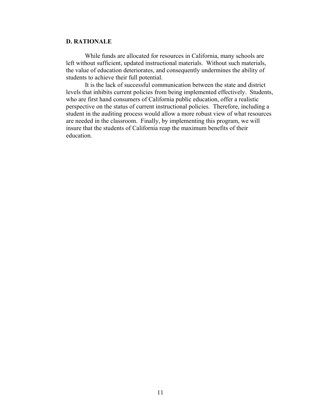While funds are allocated for resources in California, many schools are left without sufficient, updated instructional materials. Without such materials, the value of education deteriorates, and consequently undermines the ability of students to achieve their full potential.

It is the lack of successful communication between the state and district levels that inhibits current policies from being implemented effectively. Students, who are first hand consumers of California public education, offer a realistic perspective on the status of current instructional policies. Therefore, including a student in the auditing process would allow a more robust view of what resources are needed in the classroom. Finally, by implementing this program, we will insure that the students of California reap the maximum benefits of their education.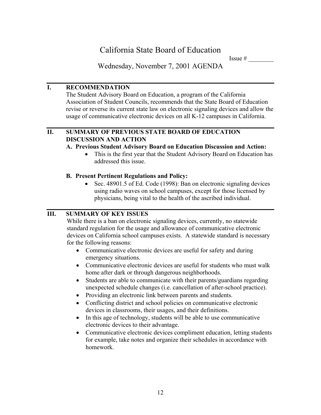Issue  $#$ 

Wednesday, November 7, 2001 AGENDA

## **I. RECOMMENDATION**

The Student Advisory Board on Education, a program of the California Association of Student Councils, recommends that the State Board of Education revise or reverse its current state law on electronic signaling devices and allow the usage of communicative electronic devices on all K-12 campuses in California.

## **II. SUMMARY OF PREVIOUS STATE BOARD OF EDUCATION DISCUSSION AND ACTION**

#### **A. Previous Student Advisory Board on Education Discussion and Action:**

• This is the first year that the Student Advisory Board on Education has addressed this issue.

## **B. Present Pertinent Regulations and Policy:**

• Sec. 48901.5 of Ed. Code (1998): Ban on electronic signaling devices using radio waves on school campuses, except for those licensed by physicians, being vital to the health of the ascribed individual.

## **III. SUMMARY OF KEY ISSUES**

While there is a ban on electronic signaling devices, currently, no statewide standard regulation for the usage and allowance of communicative electronic devices on California school campuses exists. A statewide standard is necessary for the following reasons:

- Communicative electronic devices are useful for safety and during emergency situations.
- Communicative electronic devices are useful for students who must walk home after dark or through dangerous neighborhoods.
- Students are able to communicate with their parents/guardians regarding unexpected schedule changes (i.e. cancellation of after-school practice).
- Providing an electronic link between parents and students.
- Conflicting district and school policies on communicative electronic devices in classrooms, their usages, and their definitions.
- In this age of technology, students will be able to use communicative electronic devices to their advantage.
- Communicative electronic devices compliment education, letting students for example, take notes and organize their schedules in accordance with homework.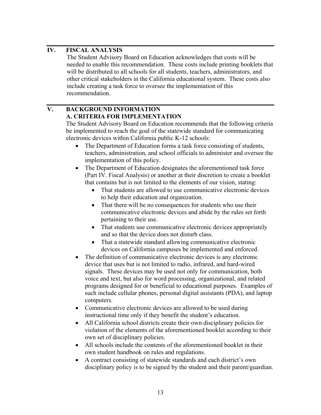The Student Advisory Board on Education acknowledges that costs will be needed to enable this recommendation. These costs include printing booklets that will be distributed to all schools for all students, teachers, administrators, and other critical stakeholders in the California educational system. These costs also include creating a task force to oversee the implementation of this recommendation.

## **V. BACKGROUND INFORMATION A. CRITERIA FOR IMPLEMENTATION**

The Student Advisory Board on Education recommends that the following criteria be implemented to reach the goal of the statewide standard for communicating electronic devices within California public K-12 schools:

- The Department of Education forms a task force consisting of students, teachers, administration, and school officials to administer and oversee the implementation of this policy.
- The Department of Education designates the aforementioned task force (Part IV. Fiscal Analysis) or another at their discretion to create a booklet that contains but is not limited to the elements of our vision, stating:
	- That students are allowed to use communicative electronic devices to help their education and organization.
	- That there will be no consequences for students who use their communicative electronic devices and abide by the rules set forth pertaining to their use.
	- That students use communicative electronic devices appropriately and so that the device does not disturb class.
	- That a statewide standard allowing communicative electronic devices on California campuses be implemented and enforced.
- The definition of communicative electronic devices is any electronic device that uses but is not limited to radio, infrared, and hard-wired signals. These devices may be used not only for communication, both voice and text, but also for word processing, organizational, and related programs designed for or beneficial to educational purposes. Examples of such include cellular phones, personal digital assistants (PDA), and laptop computers.
- Communicative electronic devices are allowed to be used during instructional time only if they benefit the student's education.
- All California school districts create their own disciplinary policies for violation of the elements of the aforementioned booklet according to their own set of disciplinary policies.
- All schools include the contents of the aforementioned booklet in their own student handbook on rules and regulations.
- A contract consisting of statewide standards and each district's own disciplinary policy is to be signed by the student and their parent/guardian.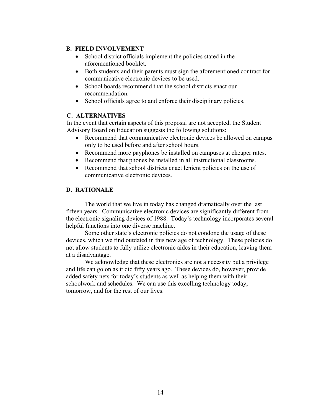#### **B. FIELD INVOLVEMENT**

- School district officials implement the policies stated in the aforementioned booklet.
- Both students and their parents must sign the aforementioned contract for communicative electronic devices to be used.
- School boards recommend that the school districts enact our recommendation.
- School officials agree to and enforce their disciplinary policies.

#### **C. ALTERNATIVES**

In the event that certain aspects of this proposal are not accepted, the Student Advisory Board on Education suggests the following solutions:

- Recommend that communicative electronic devices be allowed on campus only to be used before and after school hours.
- Recommend more payphones be installed on campuses at cheaper rates.
- Recommend that phones be installed in all instructional classrooms.
- Recommend that school districts enact lenient policies on the use of communicative electronic devices.

#### **D. RATIONALE**

The world that we live in today has changed dramatically over the last fifteen years. Communicative electronic devices are significantly different from the electronic signaling devices of 1988. Today's technology incorporates several helpful functions into one diverse machine.

Some other state's electronic policies do not condone the usage of these devices, which we find outdated in this new age of technology. These policies do not allow students to fully utilize electronic aides in their education, leaving them at a disadvantage.

We acknowledge that these electronics are not a necessity but a privilege and life can go on as it did fifty years ago. These devices do, however, provide added safety nets for today's students as well as helping them with their schoolwork and schedules. We can use this excelling technology today, tomorrow, and for the rest of our lives.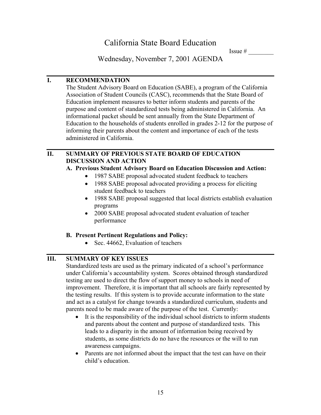Issue  $#$ 

Wednesday, November 7, 2001 AGENDA

#### **I. RECOMMENDATION**

The Student Advisory Board on Education (SABE), a program of the California Association of Student Councils (CASC), recommends that the State Board of Education implement measures to better inform students and parents of the purpose and content of standardized tests being administered in California. An informational packet should be sent annually from the State Department of Education to the households of students enrolled in grades 2-12 for the purpose of informing their parents about the content and importance of each of the tests administered in California.

#### **II. SUMMARY OF PREVIOUS STATE BOARD OF EDUCATION DISCUSSION AND ACTION**

#### **A. Previous Student Advisory Board on Education Discussion and Action:**

- 1987 SABE proposal advocated student feedback to teachers
- 1988 SABE proposal advocated providing a process for eliciting student feedback to teachers
- 1988 SABE proposal suggested that local districts establish evaluation programs
- 2000 SABE proposal advocated student evaluation of teacher performance

## **B. Present Pertinent Regulations and Policy:**

• Sec. 44662, Evaluation of teachers

## **III. SUMMARY OF KEY ISSUES**

Standardized tests are used as the primary indicated of a school's performance under California's accountability system. Scores obtained through standardized testing are used to direct the flow of support money to schools in need of improvement. Therefore, it is important that all schools are fairly represented by the testing results. If this system is to provide accurate information to the state and act as a catalyst for change towards a standardized curriculum, students and parents need to be made aware of the purpose of the test. Currently:

- It is the responsibility of the individual school districts to inform students and parents about the content and purpose of standardized tests. This leads to a disparity in the amount of information being received by students, as some districts do no have the resources or the will to run awareness campaigns.
- Parents are not informed about the impact that the test can have on their child's education.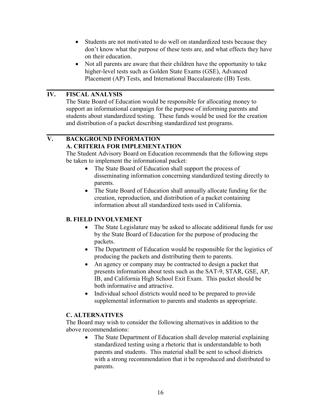- Students are not motivated to do well on standardized tests because they don't know what the purpose of these tests are, and what effects they have on their education.
- Not all parents are aware that their children have the opportunity to take higher-level tests such as Golden State Exams (GSE), Advanced Placement (AP) Tests, and International Baccalaureate (IB) Tests.

The State Board of Education would be responsible for allocating money to support an informational campaign for the purpose of informing parents and students about standardized testing. These funds would be used for the creation and distribution of a packet describing standardized test programs.

#### **V. BACKGROUND INFORMATION A. CRITERIA FOR IMPLEMENTATION**

The Student Advisory Board on Education recommends that the following steps be taken to implement the informational packet:

- The State Board of Education shall support the process of disseminating information concerning standardized testing directly to parents.
- The State Board of Education shall annually allocate funding for the creation, reproduction, and distribution of a packet containing information about all standardized tests used in California.

#### **B. FIELD INVOLVEMENT**

- The State Legislature may be asked to allocate additional funds for use by the State Board of Education for the purpose of producing the packets.
- The Department of Education would be responsible for the logistics of producing the packets and distributing them to parents.
- An agency or company may be contracted to design a packet that presents information about tests such as the SAT-9, STAR, GSE, AP, IB, and California High School Exit Exam. This packet should be both informative and attractive.
- Individual school districts would need to be prepared to provide supplemental information to parents and students as appropriate.

#### **C. ALTERNATIVES**

The Board may wish to consider the following alternatives in addition to the above recommendations:

• The State Department of Education shall develop material explaining standardized testing using a rhetoric that is understandable to both parents and students. This material shall be sent to school districts with a strong recommendation that it be reproduced and distributed to parents.